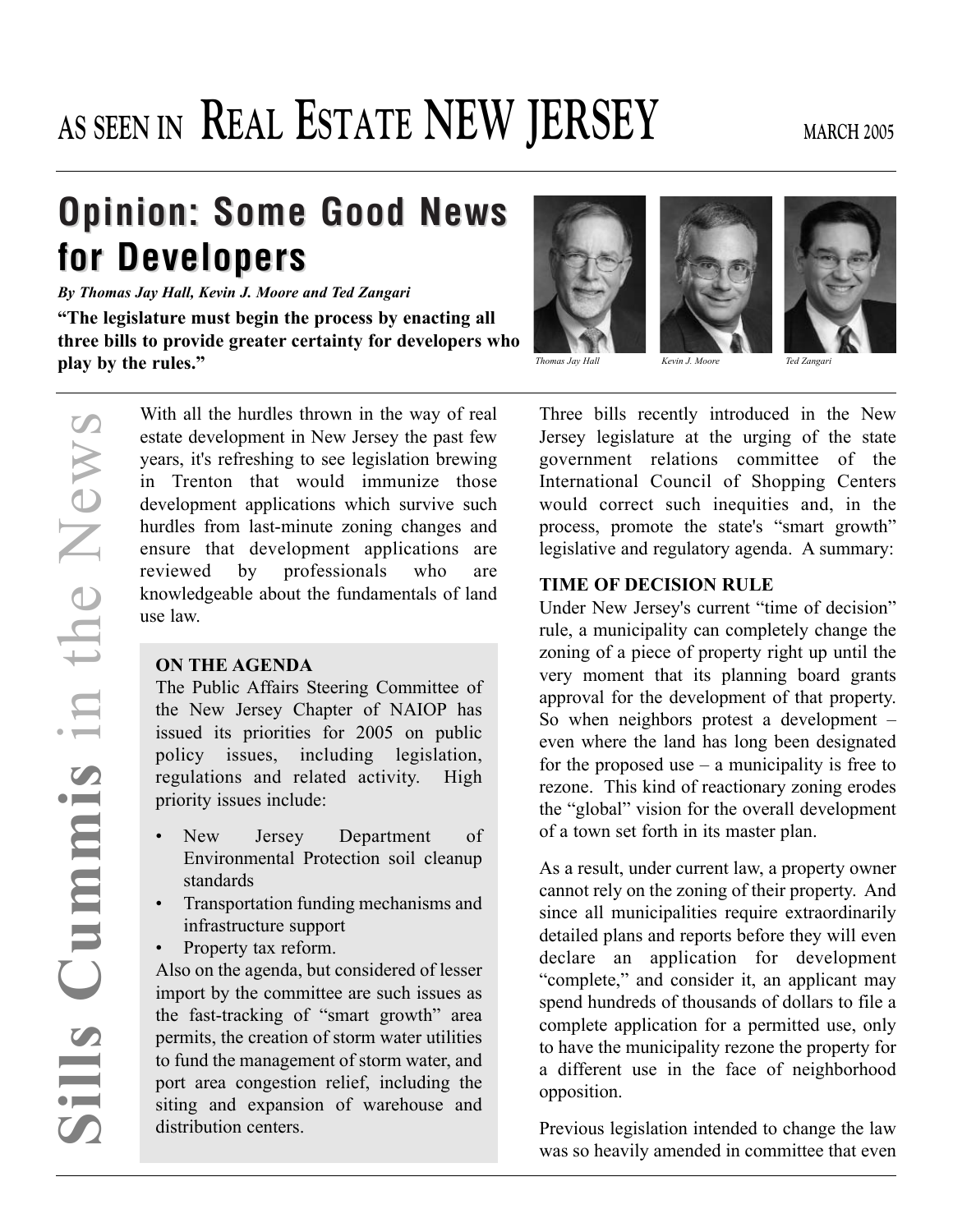# AS SEEN IN **REAL ESTATE NEW JERSEY** MARCH 2005

## **Opinion: Some Good News for Developers for Developers**

*By Thomas Jay Hall, Kevin J. Moore and Ted Zangari*

**"The legislature must begin the process by enacting all three bills to provide greater certainty for developers who play by the rules."**

> With all the hurdles thrown in the way of real estate development in New Jersey the past few years, it's refreshing to see legislation brewing in Trenton that would immunize those development applications which survive such hurdles from last-minute zoning changes and ensure that development applications are reviewed by professionals who are knowledgeable about the fundamentals of land use law.

#### **ON THE AGENDA**

The Public Affairs Steering Committee of the New Jersey Chapter of NAIOP has issued its priorities for 2005 on public policy issues, including legislation, regulations and related activity. High priority issues include:

- New Jersey Department of Environmental Protection soil cleanup standards
- Transportation funding mechanisms and infrastructure support
- Property tax reform.

Also on the agenda, but considered of lesser import by the committee are such issues as the fast-tracking of "smart growth" area permits, the creation of storm water utilities to fund the management of storm water, and port area congestion relief, including the siting and expansion of warehouse and distribution centers.







*Thomas Jay Hall Kevin J. Moore Ted Zangari*

Three bills recently introduced in the New Jersey legislature at the urging of the state government relations committee of the International Council of Shopping Centers would correct such inequities and, in the process, promote the state's "smart growth" legislative and regulatory agenda. A summary:

#### **TIME OF DECISION RULE**

Under New Jersey's current "time of decision" rule, a municipality can completely change the zoning of a piece of property right up until the very moment that its planning board grants approval for the development of that property. So when neighbors protest a development – even where the land has long been designated for the proposed use  $-$  a municipality is free to rezone. This kind of reactionary zoning erodes the "global" vision for the overall development of a town set forth in its master plan.

As a result, under current law, a property owner cannot rely on the zoning of their property. And since all municipalities require extraordinarily detailed plans and reports before they will even declare an application for development "complete," and consider it, an applicant may spend hundreds of thousands of dollars to file a complete application for a permitted use, only to have the municipality rezone the property for a different use in the face of neighborhood opposition.

Previous legislation intended to change the law was so heavily amended in committee that even